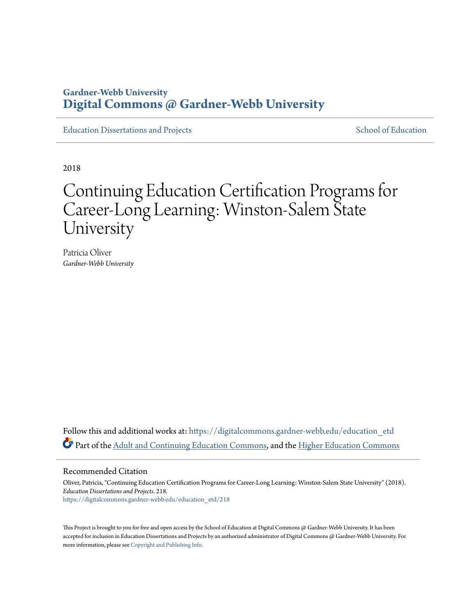# **Gardner-Webb University [Digital Commons @ Gardner-Webb University](https://digitalcommons.gardner-webb.edu?utm_source=digitalcommons.gardner-webb.edu%2Feducation_etd%2F218&utm_medium=PDF&utm_campaign=PDFCoverPages)**

[Education Dissertations and Projects](https://digitalcommons.gardner-webb.edu/education_etd?utm_source=digitalcommons.gardner-webb.edu%2Feducation_etd%2F218&utm_medium=PDF&utm_campaign=PDFCoverPages) [School of Education](https://digitalcommons.gardner-webb.edu/education?utm_source=digitalcommons.gardner-webb.edu%2Feducation_etd%2F218&utm_medium=PDF&utm_campaign=PDFCoverPages)

2018

# Continuing Education Certification Programs for Career-Long Learning: Winston-Salem State University

Patricia Oliver *Gardner-Webb University*

Follow this and additional works at: [https://digitalcommons.gardner-webb.edu/education\\_etd](https://digitalcommons.gardner-webb.edu/education_etd?utm_source=digitalcommons.gardner-webb.edu%2Feducation_etd%2F218&utm_medium=PDF&utm_campaign=PDFCoverPages) Part of the [Adult and Continuing Education Commons](http://network.bepress.com/hgg/discipline/1375?utm_source=digitalcommons.gardner-webb.edu%2Feducation_etd%2F218&utm_medium=PDF&utm_campaign=PDFCoverPages), and the [Higher Education Commons](http://network.bepress.com/hgg/discipline/1245?utm_source=digitalcommons.gardner-webb.edu%2Feducation_etd%2F218&utm_medium=PDF&utm_campaign=PDFCoverPages)

#### Recommended Citation

Oliver, Patricia, "Continuing Education Certification Programs for Career-Long Learning: Winston-Salem State University" (2018). *Education Dissertations and Projects*. 218. [https://digitalcommons.gardner-webb.edu/education\\_etd/218](https://digitalcommons.gardner-webb.edu/education_etd/218?utm_source=digitalcommons.gardner-webb.edu%2Feducation_etd%2F218&utm_medium=PDF&utm_campaign=PDFCoverPages)

This Project is brought to you for free and open access by the School of Education at Digital Commons @ Gardner-Webb University. It has been accepted for inclusion in Education Dissertations and Projects by an authorized administrator of Digital Commons @ Gardner-Webb University. For more information, please see [Copyright and Publishing Info](https://digitalcommons.gardner-webb.edu/copyright_publishing.html).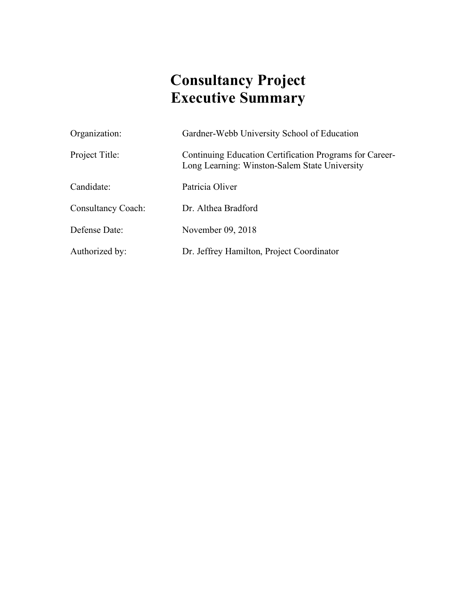# **Consultancy Project Executive Summary**

| Organization:             | Gardner-Webb University School of Education                                                              |
|---------------------------|----------------------------------------------------------------------------------------------------------|
| Project Title:            | Continuing Education Certification Programs for Career-<br>Long Learning: Winston-Salem State University |
| Candidate:                | Patricia Oliver                                                                                          |
| <b>Consultancy Coach:</b> | Dr. Althea Bradford                                                                                      |
| Defense Date:             | November 09, 2018                                                                                        |
| Authorized by:            | Dr. Jeffrey Hamilton, Project Coordinator                                                                |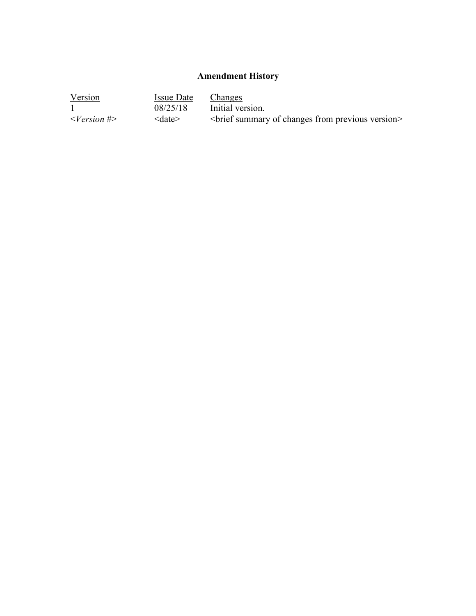# **Amendment History**

| Version                     | Issue Date         | <b>Changes</b>                                      |
|-----------------------------|--------------------|-----------------------------------------------------|
|                             | 08/25/18           | Initial version.                                    |
| $\langle Version # \rangle$ | $\leq$ date $\geq$ | <br>brief summary of changes from previous version> |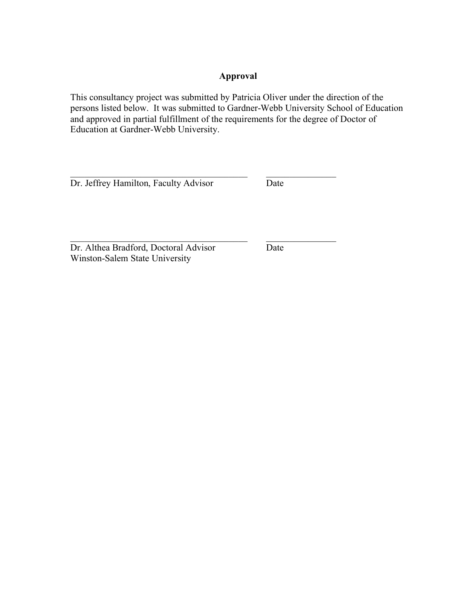## **Approval**

This consultancy project was submitted by Patricia Oliver under the direction of the persons listed below. It was submitted to Gardner-Webb University School of Education and approved in partial fulfillment of the requirements for the degree of Doctor of Education at Gardner-Webb University.

 $\mathcal{L}_\text{max}$  , and the contribution of the contribution of  $\mathcal{L}_\text{max}$ 

 $\mathcal{L}_\text{max}$  and the contract of the contract of the contract of the contract of the contract of the contract of the contract of the contract of the contract of the contract of the contract of the contract of the contrac

Dr. Jeffrey Hamilton, Faculty Advisor Date

Dr. Althea Bradford, Doctoral Advisor Date Winston-Salem State University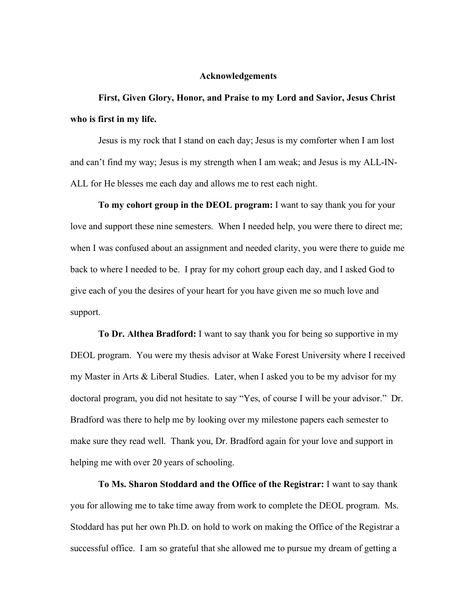#### **Acknowledgements**

**First, Given Glory, Honor, and Praise to my Lord and Savior, Jesus Christ who is first in my life.** 

Jesus is my rock that I stand on each day; Jesus is my comforter when I am lost and can't find my way; Jesus is my strength when I am weak; and Jesus is my ALL-IN-ALL for He blesses me each day and allows me to rest each night.

**To my cohort group in the DEOL program:** I want to say thank you for your love and support these nine semesters. When I needed help, you were there to direct me; when I was confused about an assignment and needed clarity, you were there to guide me back to where I needed to be. I pray for my cohort group each day, and I asked God to give each of you the desires of your heart for you have given me so much love and support.

**To Dr. Althea Bradford:** I want to say thank you for being so supportive in my DEOL program. You were my thesis advisor at Wake Forest University where I received my Master in Arts & Liberal Studies. Later, when I asked you to be my advisor for my doctoral program, you did not hesitate to say "Yes, of course I will be your advisor." Dr. Bradford was there to help me by looking over my milestone papers each semester to make sure they read well. Thank you, Dr. Bradford again for your love and support in helping me with over 20 years of schooling.

**To Ms. Sharon Stoddard and the Office of the Registrar:** I want to say thank you for allowing me to take time away from work to complete the DEOL program. Ms. Stoddard has put her own Ph.D. on hold to work on making the Office of the Registrar a successful office. I am so grateful that she allowed me to pursue my dream of getting a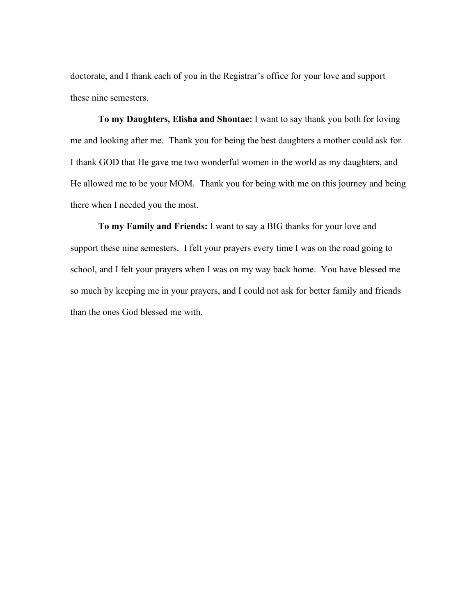doctorate, and I thank each of you in the Registrar's office for your love and support these nine semesters.

**To my Daughters, Elisha and Shontae:** I want to say thank you both for loving me and looking after me. Thank you for being the best daughters a mother could ask for. I thank GOD that He gave me two wonderful women in the world as my daughters, and He allowed me to be your MOM. Thank you for being with me on this journey and being there when I needed you the most.

**To my Family and Friends:** I want to say a BIG thanks for your love and support these nine semesters. I felt your prayers every time I was on the road going to school, and I felt your prayers when I was on my way back home. You have blessed me so much by keeping me in your prayers, and I could not ask for better family and friends than the ones God blessed me with.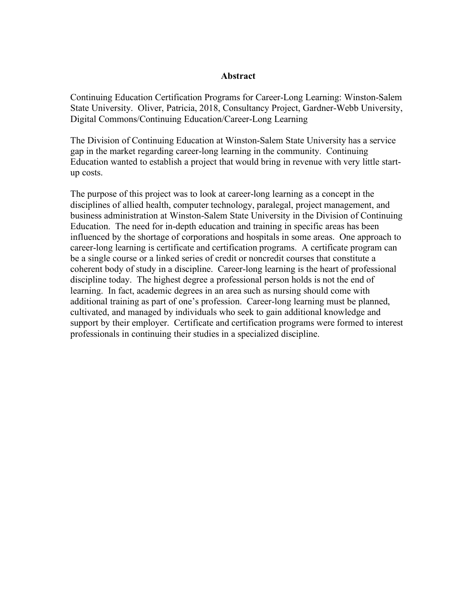#### **Abstract**

Continuing Education Certification Programs for Career-Long Learning: Winston-Salem State University. Oliver, Patricia, 2018, Consultancy Project, Gardner-Webb University, Digital Commons/Continuing Education/Career-Long Learning

The Division of Continuing Education at Winston-Salem State University has a service gap in the market regarding career-long learning in the community. Continuing Education wanted to establish a project that would bring in revenue with very little startup costs.

The purpose of this project was to look at career-long learning as a concept in the disciplines of allied health, computer technology, paralegal, project management, and business administration at Winston-Salem State University in the Division of Continuing Education. The need for in-depth education and training in specific areas has been influenced by the shortage of corporations and hospitals in some areas. One approach to career-long learning is certificate and certification programs. A certificate program can be a single course or a linked series of credit or noncredit courses that constitute a coherent body of study in a discipline. Career-long learning is the heart of professional discipline today. The highest degree a professional person holds is not the end of learning. In fact, academic degrees in an area such as nursing should come with additional training as part of one's profession. Career-long learning must be planned, cultivated, and managed by individuals who seek to gain additional knowledge and support by their employer. Certificate and certification programs were formed to interest professionals in continuing their studies in a specialized discipline.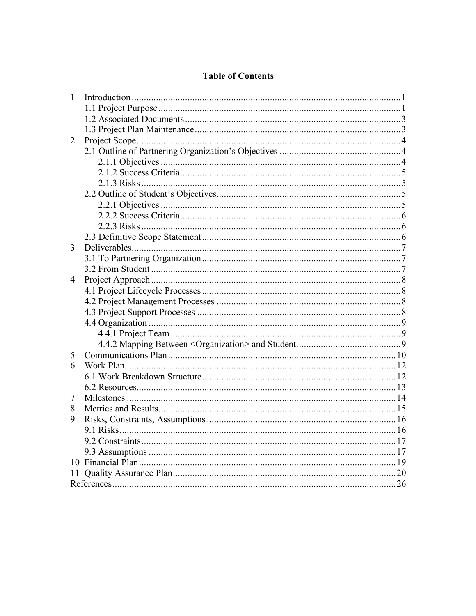# **Table of Contents**

| $\mathbf{1}$ |  |
|--------------|--|
|              |  |
|              |  |
|              |  |
| 2            |  |
|              |  |
|              |  |
|              |  |
|              |  |
|              |  |
|              |  |
|              |  |
|              |  |
|              |  |
| 3            |  |
|              |  |
|              |  |
| 4            |  |
|              |  |
|              |  |
|              |  |
|              |  |
|              |  |
|              |  |
| 5            |  |
| 6            |  |
|              |  |
|              |  |
| 7            |  |
| 8            |  |
| 9            |  |
|              |  |
|              |  |
|              |  |
|              |  |
| 11           |  |
|              |  |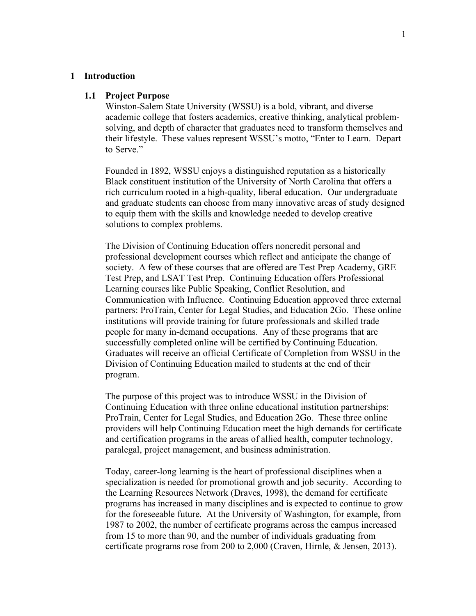#### **1 Introduction**

#### **1.1 Project Purpose**

Winston-Salem State University (WSSU) is a bold, vibrant, and diverse academic college that fosters academics, creative thinking, analytical problemsolving, and depth of character that graduates need to transform themselves and their lifestyle. These values represent WSSU's motto, "Enter to Learn. Depart to Serve."

Founded in 1892, WSSU enjoys a distinguished reputation as a historically Black constituent institution of the University of North Carolina that offers a rich curriculum rooted in a high-quality, liberal education. Our undergraduate and graduate students can choose from many innovative areas of study designed to equip them with the skills and knowledge needed to develop creative solutions to complex problems.

The Division of Continuing Education offers noncredit personal and professional development courses which reflect and anticipate the change of society. A few of these courses that are offered are Test Prep Academy, GRE Test Prep, and LSAT Test Prep. Continuing Education offers Professional Learning courses like Public Speaking, Conflict Resolution, and Communication with Influence. Continuing Education approved three external partners: ProTrain, Center for Legal Studies, and Education 2Go. These online institutions will provide training for future professionals and skilled trade people for many in-demand occupations. Any of these programs that are successfully completed online will be certified by Continuing Education. Graduates will receive an official Certificate of Completion from WSSU in the Division of Continuing Education mailed to students at the end of their program.

The purpose of this project was to introduce WSSU in the Division of Continuing Education with three online educational institution partnerships: ProTrain, Center for Legal Studies, and Education 2Go. These three online providers will help Continuing Education meet the high demands for certificate and certification programs in the areas of allied health, computer technology, paralegal, project management, and business administration.

Today, career-long learning is the heart of professional disciplines when a specialization is needed for promotional growth and job security. According to the Learning Resources Network (Draves, 1998), the demand for certificate programs has increased in many disciplines and is expected to continue to grow for the foreseeable future. At the University of Washington, for example, from 1987 to 2002, the number of certificate programs across the campus increased from 15 to more than 90, and the number of individuals graduating from certificate programs rose from 200 to 2,000 (Craven, Hirnle, & Jensen, 2013).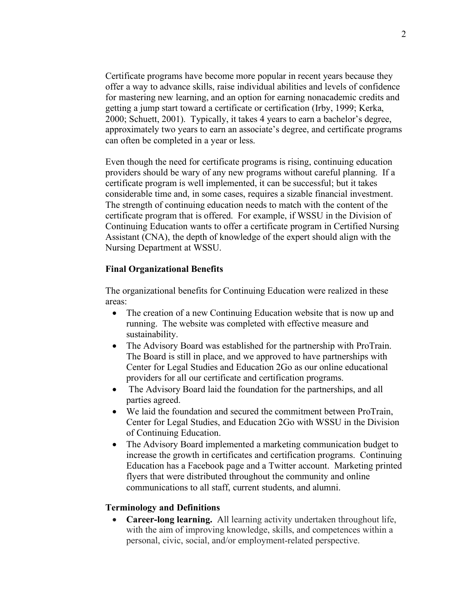Certificate programs have become more popular in recent years because they offer a way to advance skills, raise individual abilities and levels of confidence for mastering new learning, and an option for earning nonacademic credits and getting a jump start toward a certificate or certification (Irby, 1999; Kerka, 2000; Schuett, 2001). Typically, it takes 4 years to earn a bachelor's degree, approximately two years to earn an associate's degree, and certificate programs can often be completed in a year or less.

Even though the need for certificate programs is rising, continuing education providers should be wary of any new programs without careful planning. If a certificate program is well implemented, it can be successful; but it takes considerable time and, in some cases, requires a sizable financial investment. The strength of continuing education needs to match with the content of the certificate program that is offered. For example, if WSSU in the Division of Continuing Education wants to offer a certificate program in Certified Nursing Assistant (CNA), the depth of knowledge of the expert should align with the Nursing Department at WSSU.

#### **Final Organizational Benefits**

The organizational benefits for Continuing Education were realized in these areas:

- The creation of a new Continuing Education website that is now up and running. The website was completed with effective measure and sustainability.
- The Advisory Board was established for the partnership with ProTrain. The Board is still in place, and we approved to have partnerships with Center for Legal Studies and Education 2Go as our online educational providers for all our certificate and certification programs.
- The Advisory Board laid the foundation for the partnerships, and all parties agreed.
- We laid the foundation and secured the commitment between ProTrain, Center for Legal Studies, and Education 2Go with WSSU in the Division of Continuing Education.
- The Advisory Board implemented a marketing communication budget to increase the growth in certificates and certification programs. Continuing Education has a Facebook page and a Twitter account. Marketing printed flyers that were distributed throughout the community and online communications to all staff, current students, and alumni.

#### **Terminology and Definitions**

• **Career-long learning.** All learning activity undertaken throughout life, with the aim of improving knowledge, skills, and competences within a personal, civic, social, and/or employment-related perspective.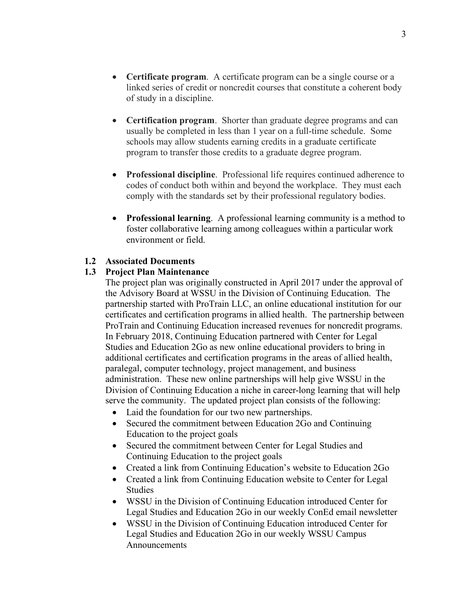3

- **Certificate program**. A certificate program can be a single course or a linked series of credit or noncredit courses that constitute a coherent body of study in a discipline.
- **Certification program**. Shorter than graduate degree programs and can usually be completed in less than 1 year on a full-time schedule. Some schools may allow students earning credits in a graduate certificate program to transfer those credits to a graduate degree program.
- **Professional discipline**. Professional life requires continued adherence to codes of conduct both within and beyond the workplace. They must each comply with the standards set by their professional regulatory bodies.
- **Professional learning**. A professional learning community is a method to foster collaborative learning among colleagues within a particular work environment or field.

## **1.2 Associated Documents**

## **1.3 Project Plan Maintenance**

The project plan was originally constructed in April 2017 under the approval of the Advisory Board at WSSU in the Division of Continuing Education. The partnership started with ProTrain LLC, an online educational institution for our certificates and certification programs in allied health. The partnership between ProTrain and Continuing Education increased revenues for noncredit programs. In February 2018, Continuing Education partnered with Center for Legal Studies and Education 2Go as new online educational providers to bring in additional certificates and certification programs in the areas of allied health, paralegal, computer technology, project management, and business administration. These new online partnerships will help give WSSU in the Division of Continuing Education a niche in career-long learning that will help serve the community. The updated project plan consists of the following:

- Laid the foundation for our two new partnerships.
- Secured the commitment between Education 2Go and Continuing Education to the project goals
- Secured the commitment between Center for Legal Studies and Continuing Education to the project goals
- Created a link from Continuing Education's website to Education 2Go
- Created a link from Continuing Education website to Center for Legal Studies
- WSSU in the Division of Continuing Education introduced Center for Legal Studies and Education 2Go in our weekly ConEd email newsletter
- WSSU in the Division of Continuing Education introduced Center for Legal Studies and Education 2Go in our weekly WSSU Campus Announcements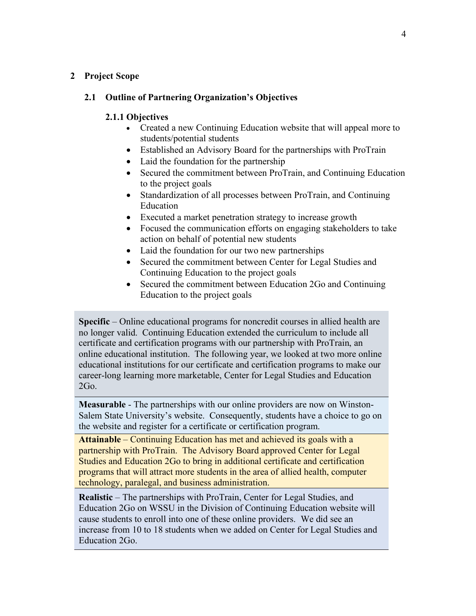#### **2 Project Scope**

## **2.1 Outline of Partnering Organization's Objectives**

#### **2.1.1 Objectives**

- Created a new Continuing Education website that will appeal more to students/potential students
- Established an Advisory Board for the partnerships with ProTrain
- Laid the foundation for the partnership
- Secured the commitment between ProTrain, and Continuing Education to the project goals
- Standardization of all processes between ProTrain, and Continuing Education
- Executed a market penetration strategy to increase growth
- Focused the communication efforts on engaging stakeholders to take action on behalf of potential new students
- Laid the foundation for our two new partnerships
- Secured the commitment between Center for Legal Studies and Continuing Education to the project goals
- Secured the commitment between Education 2Go and Continuing Education to the project goals

**Specific** – Online educational programs for noncredit courses in allied health are no longer valid. Continuing Education extended the curriculum to include all certificate and certification programs with our partnership with ProTrain, an online educational institution. The following year, we looked at two more online educational institutions for our certificate and certification programs to make our career-long learning more marketable, Center for Legal Studies and Education 2Go.

**Measurable** - The partnerships with our online providers are now on Winston-Salem State University's website. Consequently, students have a choice to go on the website and register for a certificate or certification program.

**Attainable** – Continuing Education has met and achieved its goals with a partnership with ProTrain. The Advisory Board approved Center for Legal Studies and Education 2Go to bring in additional certificate and certification programs that will attract more students in the area of allied health, computer technology, paralegal, and business administration.

**Realistic** – The partnerships with ProTrain, Center for Legal Studies, and Education 2Go on WSSU in the Division of Continuing Education website will cause students to enroll into one of these online providers. We did see an increase from 10 to 18 students when we added on Center for Legal Studies and Education 2Go.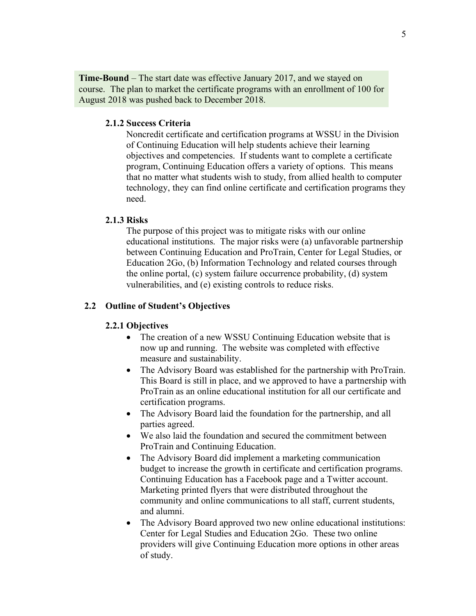**Time-Bound** – The start date was effective January 2017, and we stayed on course. The plan to market the certificate programs with an enrollment of 100 for August 2018 was pushed back to December 2018.

#### **2.1.2 Success Criteria**

Noncredit certificate and certification programs at WSSU in the Division of Continuing Education will help students achieve their learning objectives and competencies. If students want to complete a certificate program, Continuing Education offers a variety of options. This means that no matter what students wish to study, from allied health to computer technology, they can find online certificate and certification programs they need.

#### **2.1.3 Risks**

The purpose of this project was to mitigate risks with our online educational institutions. The major risks were (a) unfavorable partnership between Continuing Education and ProTrain, Center for Legal Studies, or Education 2Go, (b) Information Technology and related courses through the online portal, (c) system failure occurrence probability, (d) system vulnerabilities, and (e) existing controls to reduce risks.

#### **2.2 Outline of Student's Objectives**

#### **2.2.1 Objectives**

- The creation of a new WSSU Continuing Education website that is now up and running. The website was completed with effective measure and sustainability.
- The Advisory Board was established for the partnership with ProTrain. This Board is still in place, and we approved to have a partnership with ProTrain as an online educational institution for all our certificate and certification programs.
- The Advisory Board laid the foundation for the partnership, and all parties agreed.
- We also laid the foundation and secured the commitment between ProTrain and Continuing Education.
- The Advisory Board did implement a marketing communication budget to increase the growth in certificate and certification programs. Continuing Education has a Facebook page and a Twitter account. Marketing printed flyers that were distributed throughout the community and online communications to all staff, current students, and alumni.
- The Advisory Board approved two new online educational institutions: Center for Legal Studies and Education 2Go. These two online providers will give Continuing Education more options in other areas of study.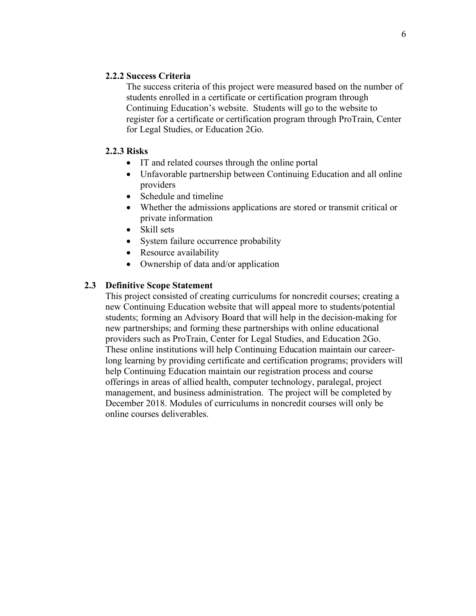#### **2.2.2 Success Criteria**

The success criteria of this project were measured based on the number of students enrolled in a certificate or certification program through Continuing Education's website. Students will go to the website to register for a certificate or certification program through ProTrain, Center for Legal Studies, or Education 2Go.

#### **2.2.3 Risks**

- IT and related courses through the online portal
- Unfavorable partnership between Continuing Education and all online providers
- Schedule and timeline
- Whether the admissions applications are stored or transmit critical or private information
- Skill sets
- System failure occurrence probability
- Resource availability
- Ownership of data and/or application

# **2.3 Definitive Scope Statement**

This project consisted of creating curriculums for noncredit courses; creating a new Continuing Education website that will appeal more to students/potential students; forming an Advisory Board that will help in the decision-making for new partnerships; and forming these partnerships with online educational providers such as ProTrain, Center for Legal Studies, and Education 2Go. These online institutions will help Continuing Education maintain our careerlong learning by providing certificate and certification programs; providers will help Continuing Education maintain our registration process and course offerings in areas of allied health, computer technology, paralegal, project management, and business administration. The project will be completed by December 2018. Modules of curriculums in noncredit courses will only be online courses deliverables.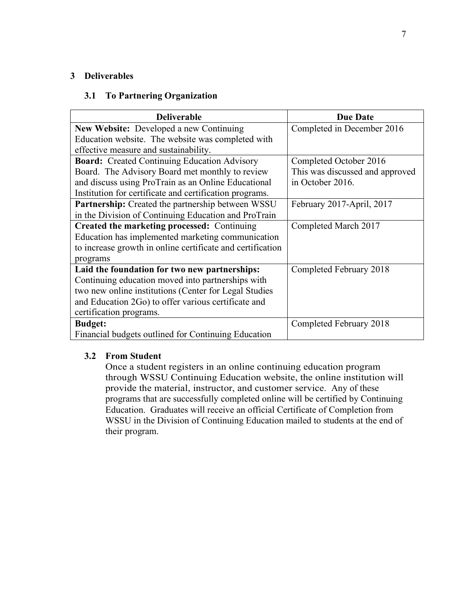#### **3 Deliverables**

#### **3.1 To Partnering Organization**

| <b>Deliverable</b>                                         | <b>Due Date</b>                 |
|------------------------------------------------------------|---------------------------------|
| <b>New Website:</b> Developed a new Continuing             | Completed in December 2016      |
| Education website. The website was completed with          |                                 |
| effective measure and sustainability.                      |                                 |
| <b>Board:</b> Created Continuing Education Advisory        | Completed October 2016          |
| Board. The Advisory Board met monthly to review            | This was discussed and approved |
| and discuss using ProTrain as an Online Educational        | in October 2016.                |
| Institution for certificate and certification programs.    |                                 |
| <b>Partnership:</b> Created the partnership between WSSU   | February 2017-April, 2017       |
| in the Division of Continuing Education and ProTrain       |                                 |
| Created the marketing processed: Continuing                | Completed March 2017            |
| Education has implemented marketing communication          |                                 |
| to increase growth in online certificate and certification |                                 |
| programs                                                   |                                 |
| Laid the foundation for two new partnerships:              | Completed February 2018         |
| Continuing education moved into partnerships with          |                                 |
| two new online institutions (Center for Legal Studies      |                                 |
| and Education 2Go) to offer various certificate and        |                                 |
| certification programs.                                    |                                 |
| <b>Budget:</b>                                             | Completed February 2018         |
| Financial budgets outlined for Continuing Education        |                                 |

#### **3.2 From Student**

Once a student registers in an online continuing education program through WSSU Continuing Education website, the online institution will provide the material, instructor, and customer service. Any of these programs that are successfully completed online will be certified by Continuing Education. Graduates will receive an official Certificate of Completion from WSSU in the Division of Continuing Education mailed to students at the end of their program.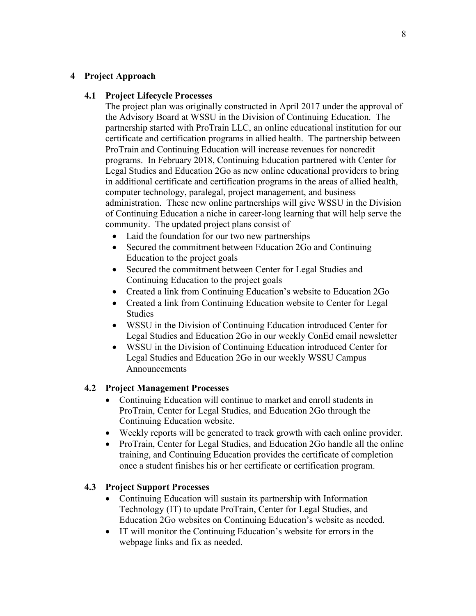#### **4 Project Approach**

#### **4.1 Project Lifecycle Processes**

The project plan was originally constructed in April 2017 under the approval of the Advisory Board at WSSU in the Division of Continuing Education. The partnership started with ProTrain LLC, an online educational institution for our certificate and certification programs in allied health. The partnership between ProTrain and Continuing Education will increase revenues for noncredit programs. In February 2018, Continuing Education partnered with Center for Legal Studies and Education 2Go as new online educational providers to bring in additional certificate and certification programs in the areas of allied health, computer technology, paralegal, project management, and business administration. These new online partnerships will give WSSU in the Division of Continuing Education a niche in career-long learning that will help serve the community. The updated project plans consist of

- Laid the foundation for our two new partnerships
- Secured the commitment between Education 2Go and Continuing Education to the project goals
- Secured the commitment between Center for Legal Studies and Continuing Education to the project goals
- Created a link from Continuing Education's website to Education 2Go
- Created a link from Continuing Education website to Center for Legal Studies
- WSSU in the Division of Continuing Education introduced Center for Legal Studies and Education 2Go in our weekly ConEd email newsletter
- WSSU in the Division of Continuing Education introduced Center for Legal Studies and Education 2Go in our weekly WSSU Campus Announcements

#### **4.2 Project Management Processes**

- Continuing Education will continue to market and enroll students in ProTrain, Center for Legal Studies, and Education 2Go through the Continuing Education website.
- Weekly reports will be generated to track growth with each online provider.
- ProTrain, Center for Legal Studies, and Education 2Go handle all the online training, and Continuing Education provides the certificate of completion once a student finishes his or her certificate or certification program.

#### **4.3 Project Support Processes**

- Continuing Education will sustain its partnership with Information Technology (IT) to update ProTrain, Center for Legal Studies, and Education 2Go websites on Continuing Education's website as needed.
- IT will monitor the Continuing Education's website for errors in the webpage links and fix as needed.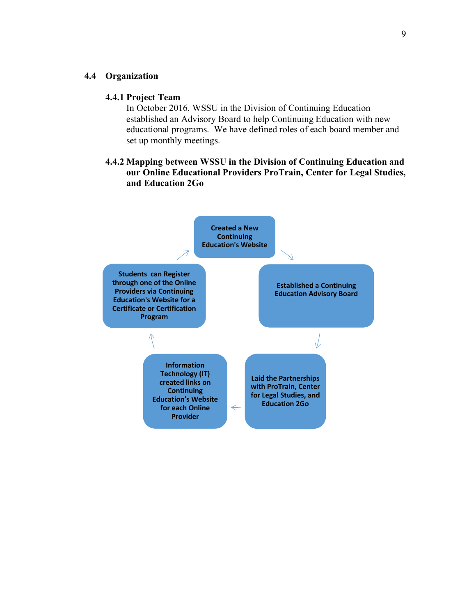#### **4.4 Organization**

#### **4.4.1 Project Team**

In October 2016, WSSU in the Division of Continuing Education established an Advisory Board to help Continuing Education with new educational programs. We have defined roles of each board member and set up monthly meetings.

#### **4.4.2 Mapping between WSSU in the Division of Continuing Education and our Online Educational Providers ProTrain, Center for Legal Studies, and Education 2Go**

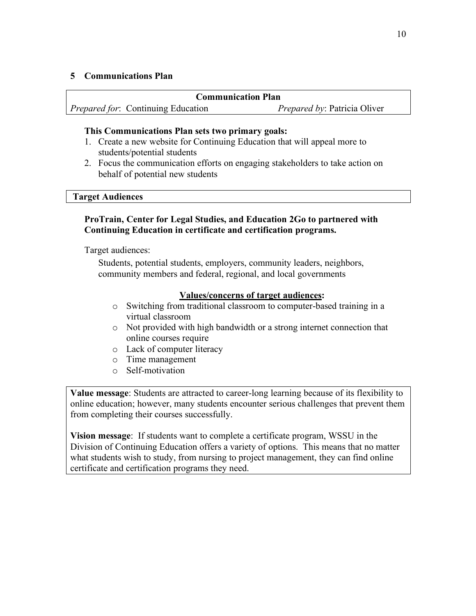#### **5 Communications Plan**

| <b>Communication Plan</b> |                                           |                                     |  |  |
|---------------------------|-------------------------------------------|-------------------------------------|--|--|
|                           | <i>Prepared for:</i> Continuing Education | <i>Prepared by: Patricia Oliver</i> |  |  |

#### **This Communications Plan sets two primary goals:**

- 1. Create a new website for Continuing Education that will appeal more to students/potential students
- 2. Focus the communication efforts on engaging stakeholders to take action on behalf of potential new students

#### **Target Audiences**

## **ProTrain, Center for Legal Studies, and Education 2Go to partnered with Continuing Education in certificate and certification programs.**

Target audiences:

Students, potential students, employers, community leaders, neighbors, community members and federal, regional, and local governments

## **Values/concerns of target audiences:**

- o Switching from traditional classroom to computer-based training in a virtual classroom
- o Not provided with high bandwidth or a strong internet connection that online courses require
- o Lack of computer literacy
- o Time management
- o Self-motivation

**Value message**: Students are attracted to career-long learning because of its flexibility to online education; however, many students encounter serious challenges that prevent them from completing their courses successfully.

**Vision message**: If students want to complete a certificate program, WSSU in the Division of Continuing Education offers a variety of options. This means that no matter what students wish to study, from nursing to project management, they can find online certificate and certification programs they need.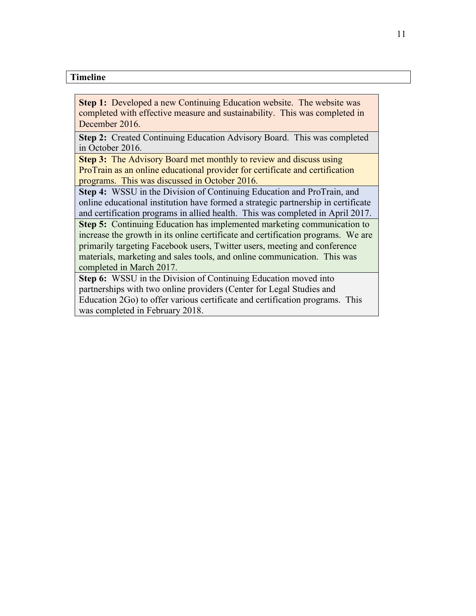## **Timeline**

**Step 1:** Developed a new Continuing Education website. The website was completed with effective measure and sustainability. This was completed in December 2016.

**Step 2:** Created Continuing Education Advisory Board. This was completed in October 2016.

**Step 3:** The Advisory Board met monthly to review and discuss using ProTrain as an online educational provider for certificate and certification programs. This was discussed in October 2016.

**Step 4:** WSSU in the Division of Continuing Education and ProTrain, and online educational institution have formed a strategic partnership in certificate and certification programs in allied health. This was completed in April 2017.

**Step 5:** Continuing Education has implemented marketing communication to increase the growth in its online certificate and certification programs. We are primarily targeting Facebook users, Twitter users, meeting and conference materials, marketing and sales tools, and online communication. This was completed in March 2017.

**Step 6:** WSSU in the Division of Continuing Education moved into partnerships with two online providers (Center for Legal Studies and Education 2Go) to offer various certificate and certification programs. This was completed in February 2018.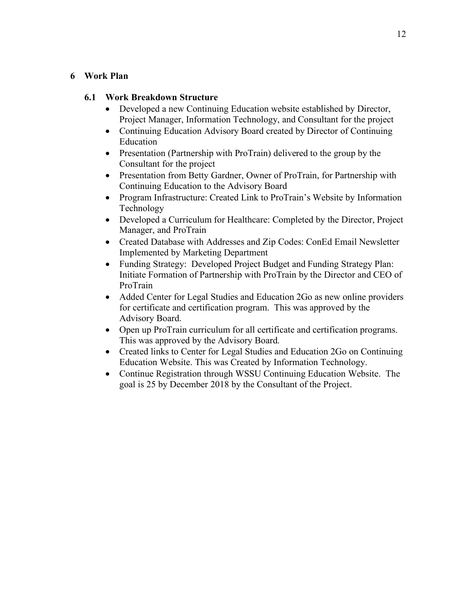#### **6 Work Plan**

## **6.1 Work Breakdown Structure**

- Developed a new Continuing Education website established by Director, Project Manager, Information Technology, and Consultant for the project
- Continuing Education Advisory Board created by Director of Continuing Education
- Presentation (Partnership with ProTrain) delivered to the group by the Consultant for the project
- Presentation from Betty Gardner, Owner of ProTrain, for Partnership with Continuing Education to the Advisory Board
- Program Infrastructure: Created Link to ProTrain's Website by Information Technology
- Developed a Curriculum for Healthcare: Completed by the Director, Project Manager, and ProTrain
- Created Database with Addresses and Zip Codes: ConEd Email Newsletter Implemented by Marketing Department
- Funding Strategy: Developed Project Budget and Funding Strategy Plan: Initiate Formation of Partnership with ProTrain by the Director and CEO of ProTrain
- Added Center for Legal Studies and Education 2Go as new online providers for certificate and certification program. This was approved by the Advisory Board.
- Open up ProTrain curriculum for all certificate and certification programs. This was approved by the Advisory Board.
- Created links to Center for Legal Studies and Education 2Go on Continuing Education Website. This was Created by Information Technology.
- Continue Registration through WSSU Continuing Education Website. The goal is 25 by December 2018 by the Consultant of the Project.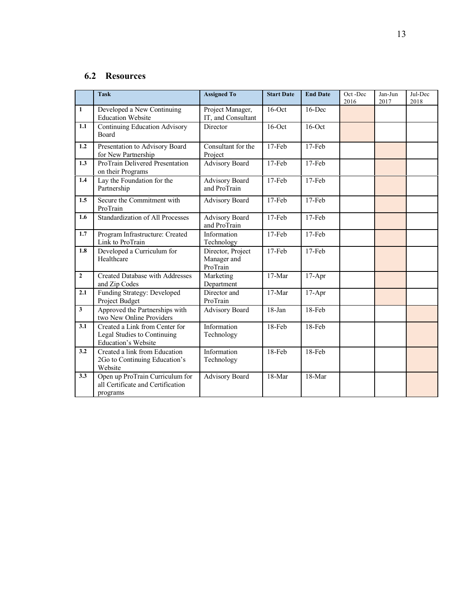# **6.2 Resources**

|                | <b>Task</b>                                                                                 | <b>Assigned To</b>                           | <b>Start Date</b>   | <b>End Date</b> | Oct-Dec<br>2016 | Jan-Jun<br>2017 | Jul-Dec<br>2018 |
|----------------|---------------------------------------------------------------------------------------------|----------------------------------------------|---------------------|-----------------|-----------------|-----------------|-----------------|
| $\mathbf{1}$   | Developed a New Continuing<br><b>Education Website</b>                                      | Project Manager,<br>IT, and Consultant       | 16-Dec<br>$16$ -Oct |                 |                 |                 |                 |
| 1.1            | <b>Continuing Education Advisory</b><br>Board                                               | Director                                     | $16$ -Oct           | $16$ -Oct       |                 |                 |                 |
| 1.2            | Presentation to Advisory Board<br>for New Partnership                                       | Consultant for the<br>Project                | $17-Feb$            | 17-Feb          |                 |                 |                 |
| 1.3            | ProTrain Delivered Presentation<br>on their Programs                                        | <b>Advisory Board</b>                        | 17-Feb              | 17-Feb          |                 |                 |                 |
| 1.4            | Lay the Foundation for the<br>Partnership                                                   | <b>Advisory Board</b><br>and ProTrain        | 17-Feb              | 17-Feb          |                 |                 |                 |
| 1.5            | Secure the Commitment with<br>ProTrain                                                      | <b>Advisory Board</b>                        | 17-Feb              | 17-Feb          |                 |                 |                 |
| 1.6            | <b>Standardization of All Processes</b>                                                     | <b>Advisory Board</b><br>and ProTrain        | $17-Feb$            | 17-Feb          |                 |                 |                 |
| 1.7            | Program Infrastructure: Created<br>Link to ProTrain                                         | Information<br>Technology                    | $17-Feb$            | 17-Feb          |                 |                 |                 |
| 1.8            | Developed a Curriculum for<br>Healthcare                                                    | Director, Project<br>Manager and<br>ProTrain | 17-Feb              | 17-Feb          |                 |                 |                 |
| $\overline{2}$ | Created Database with Addresses<br>and Zip Codes                                            | Marketing<br>Department                      | 17-Mar              | $17-Apr$        |                 |                 |                 |
| 2.1            | Funding Strategy: Developed<br>Project Budget                                               | Director and<br>ProTrain                     | $17-Mar$            | $17-Apr$        |                 |                 |                 |
| $\mathbf{3}$   | Approved the Partnerships with<br>two New Online Providers                                  | <b>Advisory Board</b>                        | 18-Jan              | 18-Feb          |                 |                 |                 |
| 3.1            | Created a Link from Center for<br>Legal Studies to Continuing<br><b>Education's Website</b> | Information<br>Technology                    | 18-Feb              | 18-Feb          |                 |                 |                 |
| 3.2            | Created a link from Education<br>2Go to Continuing Education's<br>Website                   | Information<br>Technology                    | 18-Feb              | 18-Feb          |                 |                 |                 |
| 3.3            | Open up ProTrain Curriculum for<br>all Certificate and Certification<br>programs            | <b>Advisory Board</b>                        | 18-Mar              | 18-Mar          |                 |                 |                 |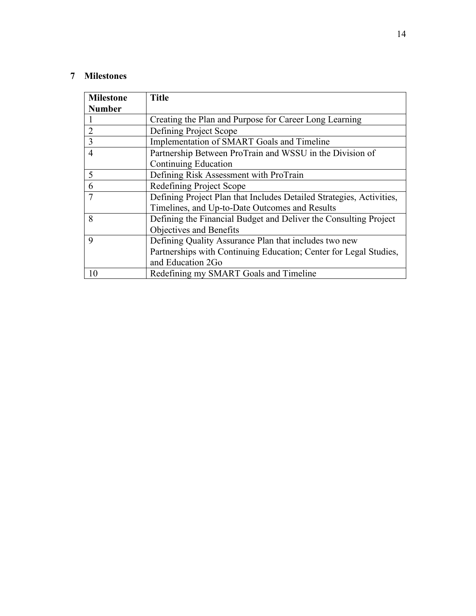# **7 Milestones**

| <b>Milestone</b> | <b>Title</b>                                                         |
|------------------|----------------------------------------------------------------------|
| <b>Number</b>    |                                                                      |
|                  | Creating the Plan and Purpose for Career Long Learning               |
| $\overline{2}$   | Defining Project Scope                                               |
| $\overline{3}$   | Implementation of SMART Goals and Timeline                           |
| $\overline{4}$   | Partnership Between ProTrain and WSSU in the Division of             |
|                  | Continuing Education                                                 |
| 5                | Defining Risk Assessment with ProTrain                               |
| 6                | Redefining Project Scope                                             |
| $\overline{7}$   | Defining Project Plan that Includes Detailed Strategies, Activities, |
|                  | Timelines, and Up-to-Date Outcomes and Results                       |
| 8                | Defining the Financial Budget and Deliver the Consulting Project     |
|                  | Objectives and Benefits                                              |
| 9                | Defining Quality Assurance Plan that includes two new                |
|                  | Partnerships with Continuing Education; Center for Legal Studies,    |
|                  | and Education 2Go                                                    |
| 10               | Redefining my SMART Goals and Timeline                               |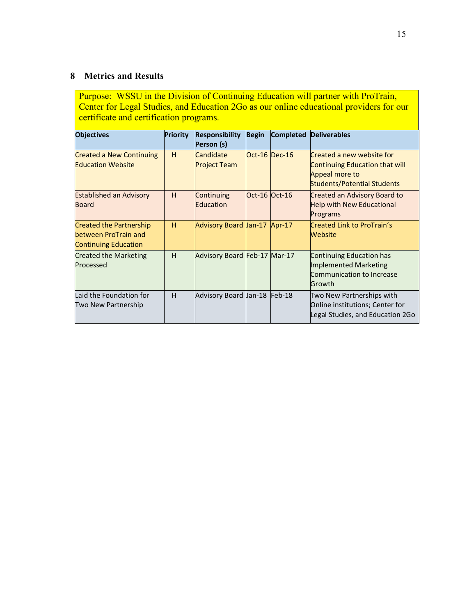# **8 Metrics and Results**

Purpose: WSSU in the Division of Continuing Education will partner with ProTrain, Center for Legal Studies, and Education 2Go as our online educational providers for our certificate and certification programs.

| <b>Objectives</b>                                                                     | Priority | <b>Responsibility</b><br>Person (s)     | <b>Begin</b>  |          | <b>Completed Deliverables</b>                                                                                              |
|---------------------------------------------------------------------------------------|----------|-----------------------------------------|---------------|----------|----------------------------------------------------------------------------------------------------------------------------|
| <b>Created a New Continuing</b><br><b>Education Website</b>                           | H        | <b>Candidate</b><br><b>Project Team</b> | Oct-16 Dec-16 |          | Created a new website for<br><b>Continuing Education that will</b><br>Appeal more to<br><b>Students/Potential Students</b> |
| <b>Established an Advisory</b><br>Board                                               | H        | Continuing<br>Education                 | Oct-16 Oct-16 |          | <b>Created an Advisory Board to</b><br><b>Help with New Educational</b><br>Programs                                        |
| <b>Created the Partnership</b><br>between ProTrain and<br><b>Continuing Education</b> | H        | Advisory Board Jan-17                   |               | $Apr-17$ | Created Link to ProTrain's<br><b>Website</b>                                                                               |
| <b>Created the Marketing</b><br>Processed                                             | H        | Advisory Board Feb-17 Mar-17            |               |          | Continuing Education has<br>Implemented Marketing<br>Communication to Increase<br>Growth                                   |
| Laid the Foundation for<br>Two New Partnership                                        | H        | Advisory Board Jan-18 Feb-18            |               |          | Two New Partnerships with<br>Online institutions; Center for<br>Legal Studies, and Education 2Go                           |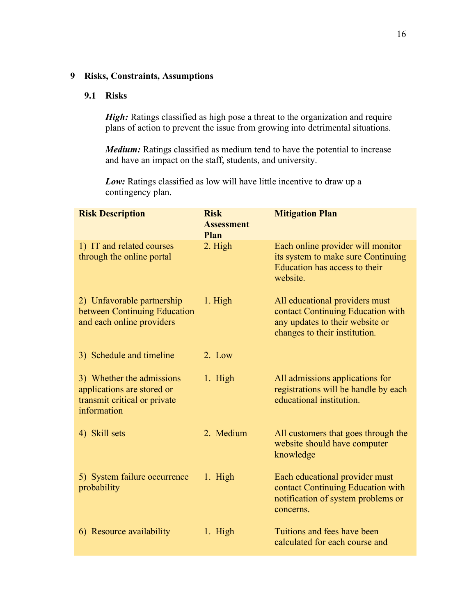## **9 Risks, Constraints, Assumptions**

#### **9.1 Risks**

*High:* Ratings classified as high pose a threat to the organization and require plans of action to prevent the issue from growing into detrimental situations.

*Medium:* Ratings classified as medium tend to have the potential to increase and have an impact on the staff, students, and university.

Low: Ratings classified as low will have little incentive to draw up a contingency plan.

| <b>Risk Description</b>                                                                                | <b>Risk</b><br><b>Assessment</b><br>Plan | <b>Mitigation Plan</b>                                                                                                                  |
|--------------------------------------------------------------------------------------------------------|------------------------------------------|-----------------------------------------------------------------------------------------------------------------------------------------|
| 1) IT and related courses<br>through the online portal                                                 | 2. High                                  | Each online provider will monitor<br>its system to make sure Continuing<br>Education has access to their<br>website.                    |
| 2) Unfavorable partnership<br>between Continuing Education<br>and each online providers                | 1. High                                  | All educational providers must<br>contact Continuing Education with<br>any updates to their website or<br>changes to their institution. |
| 3) Schedule and timeline                                                                               | 2. Low                                   |                                                                                                                                         |
| 3) Whether the admissions<br>applications are stored or<br>transmit critical or private<br>information | 1. High                                  | All admissions applications for<br>registrations will be handle by each<br>educational institution.                                     |
| 4) Skill sets                                                                                          | 2. Medium                                | All customers that goes through the<br>website should have computer<br>knowledge                                                        |
| 5) System failure occurrence<br>probability                                                            | 1. High                                  | Each educational provider must<br>contact Continuing Education with<br>notification of system problems or<br>concerns.                  |
| 6) Resource availability                                                                               | 1. High                                  | Tuitions and fees have been<br>calculated for each course and                                                                           |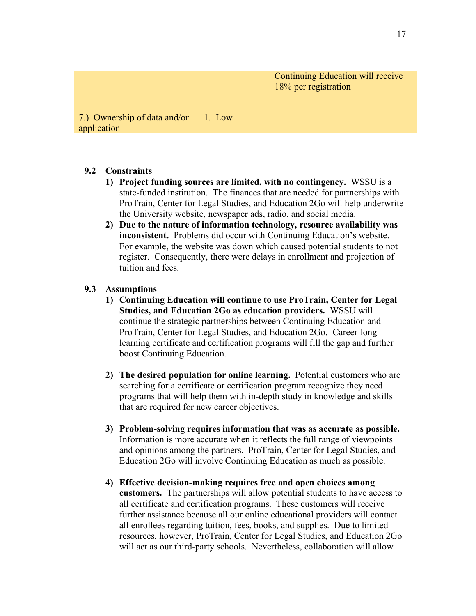Continuing Education will receive 18% per registration

7.) Ownership of data and/or application 1. Low

#### **9.2 Constraints**

- **1) Project funding sources are limited, with no contingency.** WSSU is a state-funded institution. The finances that are needed for partnerships with ProTrain, Center for Legal Studies, and Education 2Go will help underwrite the University website, newspaper ads, radio, and social media.
- **2) Due to the nature of information technology, resource availability was inconsistent.** Problems did occur with Continuing Education's website. For example, the website was down which caused potential students to not register. Consequently, there were delays in enrollment and projection of tuition and fees.

#### **9.3 Assumptions**

- **1) Continuing Education will continue to use ProTrain, Center for Legal Studies, and Education 2Go as education providers.** WSSU will continue the strategic partnerships between Continuing Education and ProTrain, Center for Legal Studies, and Education 2Go. Career-long learning certificate and certification programs will fill the gap and further boost Continuing Education.
- **2) The desired population for online learning.** Potential customers who are searching for a certificate or certification program recognize they need programs that will help them with in-depth study in knowledge and skills that are required for new career objectives.
- **3) Problem-solving requires information that was as accurate as possible.**  Information is more accurate when it reflects the full range of viewpoints and opinions among the partners. ProTrain, Center for Legal Studies, and Education 2Go will involve Continuing Education as much as possible.
- **4) Effective decision-making requires free and open choices among customers.** The partnerships will allow potential students to have access to all certificate and certification programs. These customers will receive further assistance because all our online educational providers will contact all enrollees regarding tuition, fees, books, and supplies. Due to limited resources, however, ProTrain, Center for Legal Studies, and Education 2Go will act as our third-party schools. Nevertheless, collaboration will allow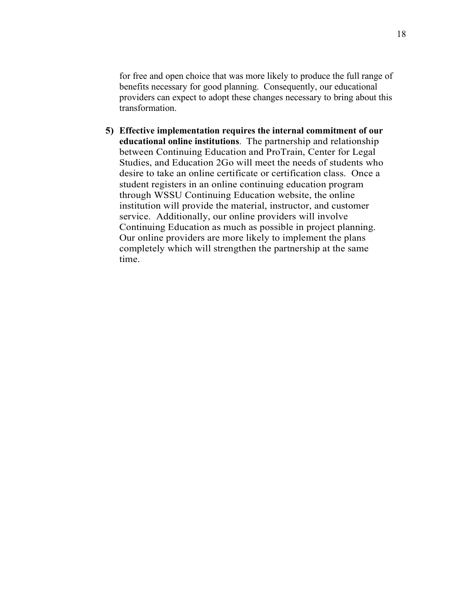for free and open choice that was more likely to produce the full range of benefits necessary for good planning. Consequently, our educational providers can expect to adopt these changes necessary to bring about this transformation.

**5) Effective implementation requires the internal commitment of our educational online institutions**. The partnership and relationship between Continuing Education and ProTrain, Center for Legal Studies, and Education 2Go will meet the needs of students who desire to take an online certificate or certification class. Once a student registers in an online continuing education program through WSSU Continuing Education website, the online institution will provide the material, instructor, and customer service. Additionally, our online providers will involve Continuing Education as much as possible in project planning. Our online providers are more likely to implement the plans completely which will strengthen the partnership at the same time.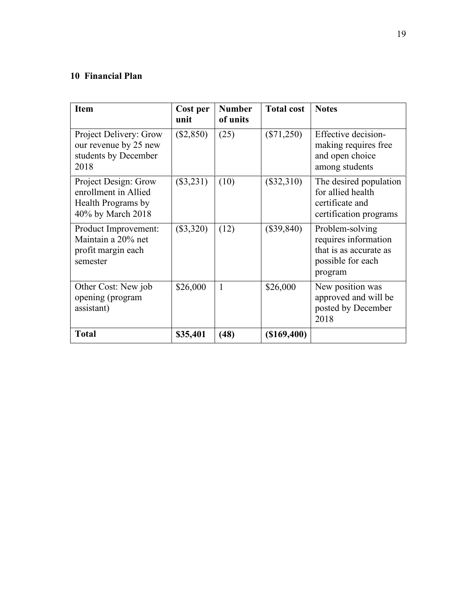# **10 Financial Plan**

| <b>Item</b>                                                                             | Cost per<br>unit | <b>Number</b><br>of units | <b>Total cost</b> | <b>Notes</b>                                                                                      |
|-----------------------------------------------------------------------------------------|------------------|---------------------------|-------------------|---------------------------------------------------------------------------------------------------|
| Project Delivery: Grow<br>our revenue by 25 new<br>students by December<br>2018         | $(\$2,850)$      | (25)                      | $(\$71,250)$      | Effective decision-<br>making requires free<br>and open choice<br>among students                  |
| Project Design: Grow<br>enrollment in Allied<br>Health Programs by<br>40% by March 2018 | $(\$3,231)$      | (10)                      | $(\$32,310)$      | The desired population<br>for allied health<br>certificate and<br>certification programs          |
| Product Improvement:<br>Maintain a 20% net<br>profit margin each<br>semester            | $(\$3,320)$      | (12)                      | $(\$39,840)$      | Problem-solving<br>requires information<br>that is as accurate as<br>possible for each<br>program |
| Other Cost: New job<br>opening (program<br>assistant)                                   | \$26,000         | 1                         | \$26,000          | New position was<br>approved and will be<br>posted by December<br>2018                            |
| <b>Total</b>                                                                            | \$35,401         | (48)                      | (\$169,400)       |                                                                                                   |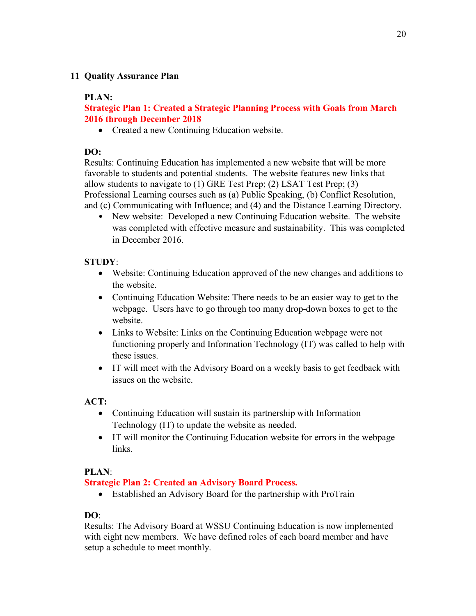## **11 Quality Assurance Plan**

## **PLAN:**

# **Strategic Plan 1: Created a Strategic Planning Process with Goals from March 2016 through December 2018**

• Created a new Continuing Education website.

# **DO:**

Results: Continuing Education has implemented a new website that will be more favorable to students and potential students. The website features new links that allow students to navigate to (1) GRE Test Prep; (2) LSAT Test Prep; (3) Professional Learning courses such as (a) Public Speaking, (b) Conflict Resolution, and (c) Communicating with Influence; and (4) and the Distance Learning Directory.

• New website: Developed a new Continuing Education website. The website was completed with effective measure and sustainability. This was completed in December 2016.

# **STUDY**:

- Website: Continuing Education approved of the new changes and additions to the website.
- Continuing Education Website: There needs to be an easier way to get to the webpage. Users have to go through too many drop-down boxes to get to the website.
- Links to Website: Links on the Continuing Education webpage were not functioning properly and Information Technology (IT) was called to help with these issues.
- IT will meet with the Advisory Board on a weekly basis to get feedback with issues on the website.

# **ACT:**

- Continuing Education will sustain its partnership with Information Technology (IT) to update the website as needed.
- IT will monitor the Continuing Education website for errors in the webpage links.

# **PLAN**:

# **Strategic Plan 2: Created an Advisory Board Process.**

• Established an Advisory Board for the partnership with ProTrain

# **DO**:

Results: The Advisory Board at WSSU Continuing Education is now implemented with eight new members. We have defined roles of each board member and have setup a schedule to meet monthly.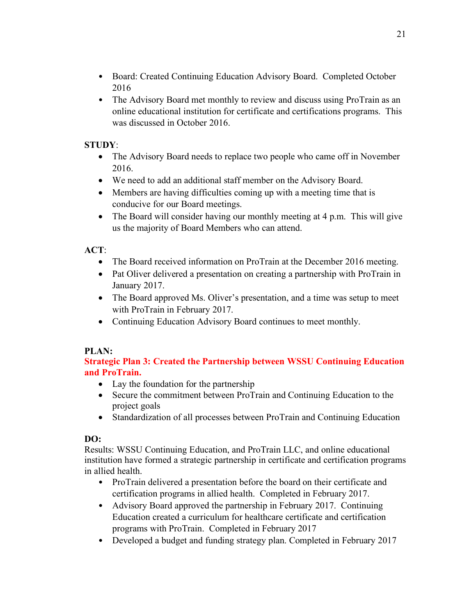- Board: Created Continuing Education Advisory Board. Completed October 2016
- The Advisory Board met monthly to review and discuss using ProTrain as an online educational institution for certificate and certifications programs. This was discussed in October 2016.

# **STUDY**:

- The Advisory Board needs to replace two people who came off in November 2016.
- We need to add an additional staff member on the Advisory Board.
- Members are having difficulties coming up with a meeting time that is conducive for our Board meetings.
- The Board will consider having our monthly meeting at 4 p.m. This will give us the majority of Board Members who can attend.

# **ACT**:

- The Board received information on ProTrain at the December 2016 meeting.
- Pat Oliver delivered a presentation on creating a partnership with ProTrain in January 2017.
- The Board approved Ms. Oliver's presentation, and a time was setup to meet with ProTrain in February 2017.
- Continuing Education Advisory Board continues to meet monthly.

## **PLAN:**

**Strategic Plan 3: Created the Partnership between WSSU Continuing Education and ProTrain.**

- Lay the foundation for the partnership
- Secure the commitment between ProTrain and Continuing Education to the project goals
- Standardization of all processes between ProTrain and Continuing Education

## **DO:**

Results: WSSU Continuing Education, and ProTrain LLC, and online educational institution have formed a strategic partnership in certificate and certification programs in allied health.

- ProTrain delivered a presentation before the board on their certificate and certification programs in allied health. Completed in February 2017.
- Advisory Board approved the partnership in February 2017. Continuing Education created a curriculum for healthcare certificate and certification programs with ProTrain. Completed in February 2017
- Developed a budget and funding strategy plan. Completed in February 2017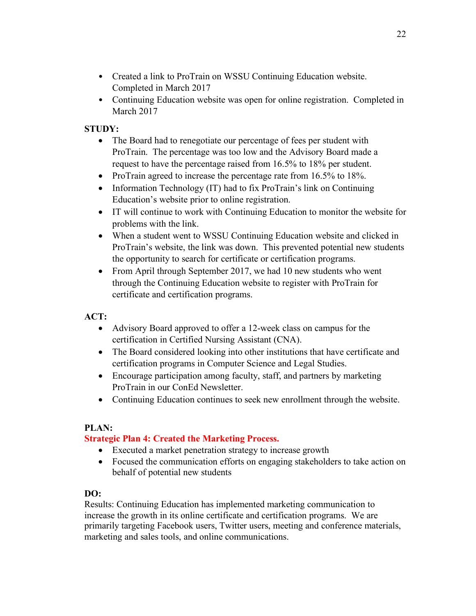- Created a link to ProTrain on WSSU Continuing Education website. Completed in March 2017
- Continuing Education website was open for online registration. Completed in March 2017

# **STUDY:**

- The Board had to renegotiate our percentage of fees per student with ProTrain. The percentage was too low and the Advisory Board made a request to have the percentage raised from 16.5% to 18% per student.
- ProTrain agreed to increase the percentage rate from 16.5% to 18%.
- Information Technology (IT) had to fix ProTrain's link on Continuing Education's website prior to online registration.
- IT will continue to work with Continuing Education to monitor the website for problems with the link.
- When a student went to WSSU Continuing Education website and clicked in ProTrain's website, the link was down. This prevented potential new students the opportunity to search for certificate or certification programs.
- From April through September 2017, we had 10 new students who went through the Continuing Education website to register with ProTrain for certificate and certification programs.

# **ACT:**

- Advisory Board approved to offer a 12-week class on campus for the certification in Certified Nursing Assistant (CNA).
- The Board considered looking into other institutions that have certificate and certification programs in Computer Science and Legal Studies.
- Encourage participation among faculty, staff, and partners by marketing ProTrain in our ConEd Newsletter.
- Continuing Education continues to seek new enrollment through the website.

## **PLAN:**

# **Strategic Plan 4: Created the Marketing Process.**

- Executed a market penetration strategy to increase growth
- Focused the communication efforts on engaging stakeholders to take action on behalf of potential new students

## **DO:**

Results: Continuing Education has implemented marketing communication to increase the growth in its online certificate and certification programs. We are primarily targeting Facebook users, Twitter users, meeting and conference materials, marketing and sales tools, and online communications.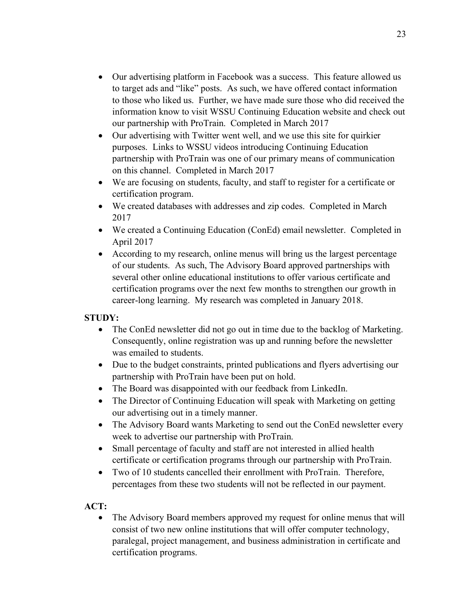- Our advertising platform in Facebook was a success. This feature allowed us to target ads and "like" posts. As such, we have offered contact information to those who liked us. Further, we have made sure those who did received the information know to visit WSSU Continuing Education website and check out our partnership with ProTrain. Completed in March 2017
- Our advertising with Twitter went well, and we use this site for quirkier purposes. Links to WSSU videos introducing Continuing Education partnership with ProTrain was one of our primary means of communication on this channel. Completed in March 2017
- We are focusing on students, faculty, and staff to register for a certificate or certification program.
- We created databases with addresses and zip codes. Completed in March 2017
- We created a Continuing Education (ConEd) email newsletter. Completed in April 2017
- According to my research, online menus will bring us the largest percentage of our students. As such, The Advisory Board approved partnerships with several other online educational institutions to offer various certificate and certification programs over the next few months to strengthen our growth in career-long learning. My research was completed in January 2018.

# **STUDY:**

- The ConEd newsletter did not go out in time due to the backlog of Marketing. Consequently, online registration was up and running before the newsletter was emailed to students.
- Due to the budget constraints, printed publications and flyers advertising our partnership with ProTrain have been put on hold.
- The Board was disappointed with our feedback from LinkedIn.
- The Director of Continuing Education will speak with Marketing on getting our advertising out in a timely manner.
- The Advisory Board wants Marketing to send out the ConEd newsletter every week to advertise our partnership with ProTrain.
- Small percentage of faculty and staff are not interested in allied health certificate or certification programs through our partnership with ProTrain.
- Two of 10 students cancelled their enrollment with ProTrain. Therefore, percentages from these two students will not be reflected in our payment.

# **ACT:**

• The Advisory Board members approved my request for online menus that will consist of two new online institutions that will offer computer technology, paralegal, project management, and business administration in certificate and certification programs.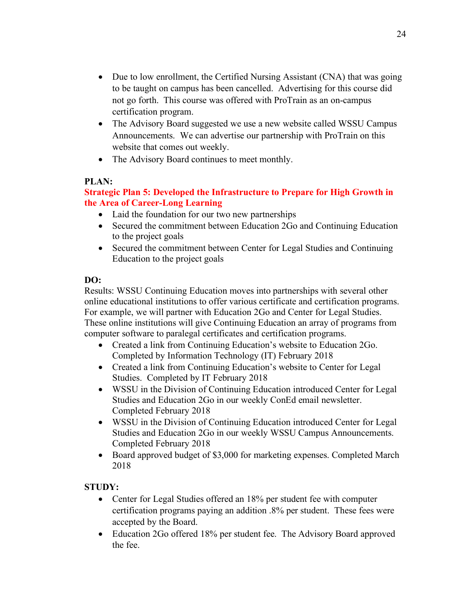- Due to low enrollment, the Certified Nursing Assistant (CNA) that was going to be taught on campus has been cancelled. Advertising for this course did not go forth. This course was offered with ProTrain as an on-campus certification program.
- The Advisory Board suggested we use a new website called WSSU Campus Announcements. We can advertise our partnership with ProTrain on this website that comes out weekly.
- The Advisory Board continues to meet monthly.

## **PLAN:**

# **Strategic Plan 5: Developed the Infrastructure to Prepare for High Growth in the Area of Career-Long Learning**

- Laid the foundation for our two new partnerships
- Secured the commitment between Education 2Go and Continuing Education to the project goals
- Secured the commitment between Center for Legal Studies and Continuing Education to the project goals

# **DO:**

Results: WSSU Continuing Education moves into partnerships with several other online educational institutions to offer various certificate and certification programs. For example, we will partner with Education 2Go and Center for Legal Studies. These online institutions will give Continuing Education an array of programs from computer software to paralegal certificates and certification programs.

- Created a link from Continuing Education's website to Education 2Go. Completed by Information Technology (IT) February 2018
- Created a link from Continuing Education's website to Center for Legal Studies. Completed by IT February 2018
- WSSU in the Division of Continuing Education introduced Center for Legal Studies and Education 2Go in our weekly ConEd email newsletter. Completed February 2018
- WSSU in the Division of Continuing Education introduced Center for Legal Studies and Education 2Go in our weekly WSSU Campus Announcements. Completed February 2018
- Board approved budget of \$3,000 for marketing expenses. Completed March 2018

# **STUDY:**

- Center for Legal Studies offered an 18% per student fee with computer certification programs paying an addition .8% per student. These fees were accepted by the Board.
- Education 2Go offered 18% per student fee. The Advisory Board approved the fee.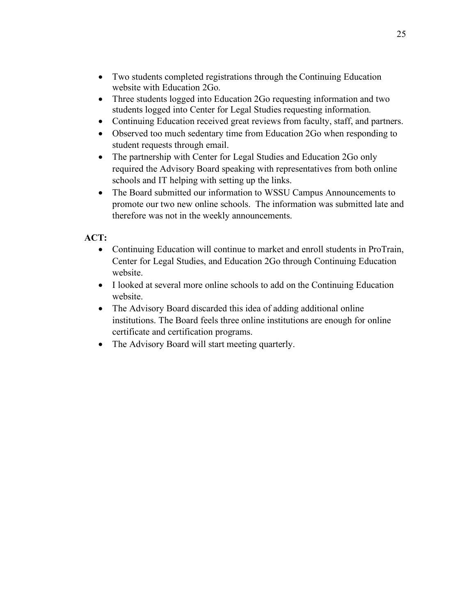- Two students completed registrations through the Continuing Education website with Education 2Go.
- Three students logged into Education 2Go requesting information and two students logged into Center for Legal Studies requesting information.
- Continuing Education received great reviews from faculty, staff, and partners.
- Observed too much sedentary time from Education 2Go when responding to student requests through email.
- The partnership with Center for Legal Studies and Education 2Go only required the Advisory Board speaking with representatives from both online schools and IT helping with setting up the links.
- The Board submitted our information to WSSU Campus Announcements to promote our two new online schools. The information was submitted late and therefore was not in the weekly announcements.

# **ACT:**

- Continuing Education will continue to market and enroll students in ProTrain, Center for Legal Studies, and Education 2Go through Continuing Education website.
- I looked at several more online schools to add on the Continuing Education website.
- The Advisory Board discarded this idea of adding additional online institutions. The Board feels three online institutions are enough for online certificate and certification programs.
- The Advisory Board will start meeting quarterly.